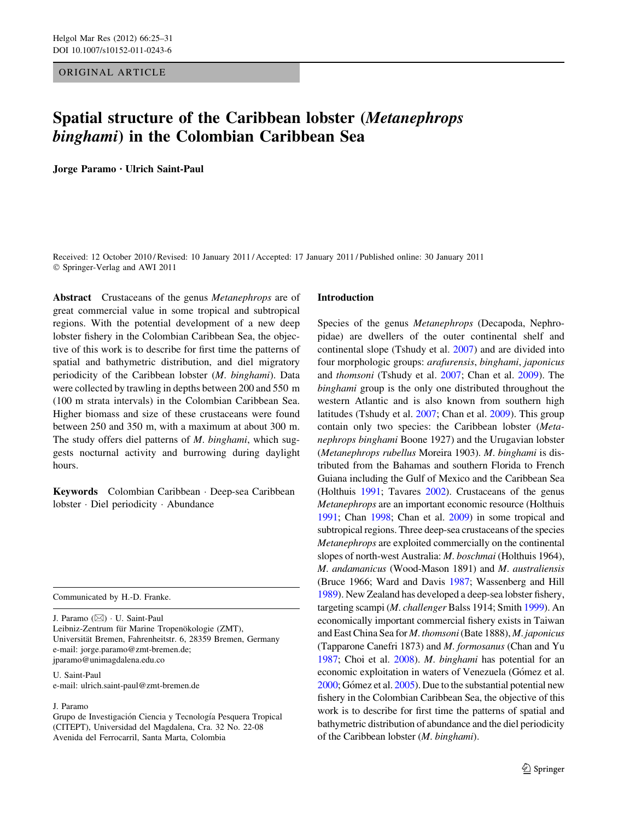ORIGINAL ARTICLE

# Spatial structure of the Caribbean lobster (Metanephrops binghami) in the Colombian Caribbean Sea

Jorge Paramo • Ulrich Saint-Paul

Received: 12 October 2010 / Revised: 10 January 2011 / Accepted: 17 January 2011 / Published online: 30 January 2011 © Springer-Verlag and AWI 2011

Abstract Crustaceans of the genus Metanephrops are of great commercial value in some tropical and subtropical regions. With the potential development of a new deep lobster fishery in the Colombian Caribbean Sea, the objective of this work is to describe for first time the patterns of spatial and bathymetric distribution, and diel migratory periodicity of the Caribbean lobster (M. binghami). Data were collected by trawling in depths between 200 and 550 m (100 m strata intervals) in the Colombian Caribbean Sea. Higher biomass and size of these crustaceans were found between 250 and 350 m, with a maximum at about 300 m. The study offers diel patterns of M. binghami, which suggests nocturnal activity and burrowing during daylight hours.

Keywords Colombian Caribbean - Deep-sea Caribbean lobster - Diel periodicity - Abundance

Communicated by H.-D. Franke.

J. Paramo (&) - U. Saint-Paul Leibniz-Zentrum für Marine Tropenökologie (ZMT), Universität Bremen, Fahrenheitstr. 6, 28359 Bremen, Germany e-mail: jorge.paramo@zmt-bremen.de; jparamo@unimagdalena.edu.co

U. Saint-Paul e-mail: ulrich.saint-paul@zmt-bremen.de

# J. Paramo

Grupo de Investigación Ciencia y Tecnología Pesquera Tropical (CITEPT), Universidad del Magdalena, Cra. 32 No. 22-08 Avenida del Ferrocarril, Santa Marta, Colombia

# Introduction

Species of the genus Metanephrops (Decapoda, Nephropidae) are dwellers of the outer continental shelf and continental slope (Tshudy et al. [2007\)](#page-6-0) and are divided into four morphologic groups: arafurensis, binghami, japonicus and thomsoni (Tshudy et al. [2007;](#page-6-0) Chan et al. [2009](#page-5-0)). The binghami group is the only one distributed throughout the western Atlantic and is also known from southern high latitudes (Tshudy et al. [2007;](#page-6-0) Chan et al. [2009](#page-5-0)). This group contain only two species: the Caribbean lobster (Metanephrops binghami Boone 1927) and the Urugavian lobster (Metanephrops rubellus Moreira 1903). M. binghami is distributed from the Bahamas and southern Florida to French Guiana including the Gulf of Mexico and the Caribbean Sea (Holthuis [1991](#page-6-0); Tavares [2002\)](#page-6-0). Crustaceans of the genus Metanephrops are an important economic resource (Holthuis [1991;](#page-6-0) Chan [1998;](#page-5-0) Chan et al. [2009](#page-5-0)) in some tropical and subtropical regions. Three deep-sea crustaceans of the species Metanephrops are exploited commercially on the continental slopes of north-west Australia: M. boschmai (Holthuis 1964), M. andamanicus (Wood-Mason 1891) and M. australiensis (Bruce 1966; Ward and Davis [1987;](#page-6-0) Wassenberg and Hill [1989\)](#page-6-0). New Zealand has developed a deep-sea lobster fishery, targeting scampi (M. challenger Balss 1914; Smith [1999\)](#page-6-0). An economically important commercial fishery exists in Taiwan and East China Sea for M. thomsoni(Bate 1888), M. japonicus (Tapparone Canefri 1873) and M. formosanus (Chan and Yu [1987;](#page-5-0) Choi et al. [2008](#page-5-0)). M. binghami has potential for an economic exploitation in waters of Venezuela (Gómez et al.  $2000$ ; Gómez et al.  $2005$ ). Due to the substantial potential new fishery in the Colombian Caribbean Sea, the objective of this work is to describe for first time the patterns of spatial and bathymetric distribution of abundance and the diel periodicity of the Caribbean lobster (M. binghami).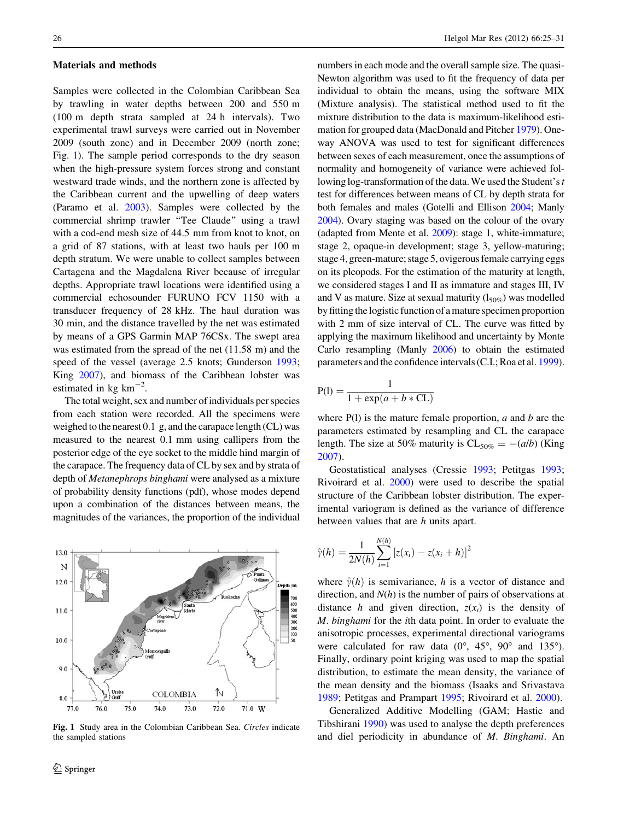#### Materials and methods

Samples were collected in the Colombian Caribbean Sea by trawling in water depths between 200 and 550 m (100 m depth strata sampled at 24 h intervals). Two experimental trawl surveys were carried out in November 2009 (south zone) and in December 2009 (north zone; Fig. 1). The sample period corresponds to the dry season when the high-pressure system forces strong and constant westward trade winds, and the northern zone is affected by the Caribbean current and the upwelling of deep waters (Paramo et al. [2003](#page-6-0)). Samples were collected by the commercial shrimp trawler ''Tee Claude'' using a trawl with a cod-end mesh size of 44.5 mm from knot to knot, on a grid of 87 stations, with at least two hauls per 100 m depth stratum. We were unable to collect samples between Cartagena and the Magdalena River because of irregular depths. Appropriate trawl locations were identified using a commercial echosounder FURUNO FCV 1150 with a transducer frequency of 28 kHz. The haul duration was 30 min, and the distance travelled by the net was estimated by means of a GPS Garmin MAP 76CSx. The swept area was estimated from the spread of the net (11.58 m) and the speed of the vessel (average 2.5 knots; Gunderson [1993](#page-5-0); King [2007](#page-6-0)), and biomass of the Caribbean lobster was estimated in  $kg \text{ km}^{-2}$ .

The total weight, sex and number of individuals per species from each station were recorded. All the specimens were weighed to the nearest 0.1 g, and the carapace length (CL) was measured to the nearest 0.1 mm using callipers from the posterior edge of the eye socket to the middle hind margin of the carapace. The frequency data of CL by sex and by strata of depth of Metanephrops binghami were analysed as a mixture of probability density functions (pdf), whose modes depend upon a combination of the distances between means, the magnitudes of the variances, the proportion of the individual



Fig. 1 Study area in the Colombian Caribbean Sea. Circles indicate the sampled stations

numbers in each mode and the overall sample size. The quasi-Newton algorithm was used to fit the frequency of data per individual to obtain the means, using the software MIX (Mixture analysis). The statistical method used to fit the mixture distribution to the data is maximum-likelihood estimation for grouped data (MacDonald and Pitcher [1979](#page-6-0)). Oneway ANOVA was used to test for significant differences between sexes of each measurement, once the assumptions of normality and homogeneity of variance were achieved following log-transformation of the data. We used the Student's  $t$ test for differences between means of CL by depth strata for both females and males (Gotelli and Ellison [2004;](#page-5-0) Manly [2004\)](#page-6-0). Ovary staging was based on the colour of the ovary (adapted from Mente et al. [2009\)](#page-6-0): stage 1, white-immature; stage 2, opaque-in development; stage 3, yellow-maturing; stage 4, green-mature; stage 5, ovigerous female carrying eggs on its pleopods. For the estimation of the maturity at length, we considered stages I and II as immature and stages III, IV and V as mature. Size at sexual maturity  $(l_{50\%})$  was modelled by fitting the logistic function of a mature specimen proportion with 2 mm of size interval of CL. The curve was fitted by applying the maximum likelihood and uncertainty by Monte Carlo resampling (Manly [2006\)](#page-6-0) to obtain the estimated parameters and the confidence intervals (C.I.; Roa et al. [1999\)](#page-6-0).

$$
P(l) = \frac{1}{1 + \exp(a + b * CL)}
$$

where  $P(1)$  is the mature female proportion,  $a$  and  $b$  are the parameters estimated by resampling and CL the carapace length. The size at 50% maturity is  $CL_{50\%} = -(a/b)$  (King [2007](#page-6-0)).

Geostatistical analyses (Cressie [1993;](#page-5-0) Petitgas [1993](#page-6-0); Rivoirard et al. [2000\)](#page-6-0) were used to describe the spatial structure of the Caribbean lobster distribution. The experimental variogram is defined as the variance of difference between values that are h units apart.

$$
\hat{\gamma}(h) = \frac{1}{2N(h)} \sum_{i=1}^{N(h)} [z(x_i) - z(x_i + h)]^2
$$

where  $\hat{\gamma}(h)$  is semivariance, h is a vector of distance and direction, and  $N(h)$  is the number of pairs of observations at distance h and given direction,  $z(x_i)$  is the density of M. binghami for the ith data point. In order to evaluate the anisotropic processes, experimental directional variograms were calculated for raw data  $(0^{\circ}, 45^{\circ}, 90^{\circ})$  and  $135^{\circ}$ ). Finally, ordinary point kriging was used to map the spatial distribution, to estimate the mean density, the variance of the mean density and the biomass (Isaaks and Srivastava [1989](#page-6-0); Petitgas and Prampart [1995](#page-6-0); Rivoirard et al. [2000](#page-6-0)).

Generalized Additive Modelling (GAM; Hastie and Tibshirani [1990\)](#page-6-0) was used to analyse the depth preferences and diel periodicity in abundance of M. Binghami. An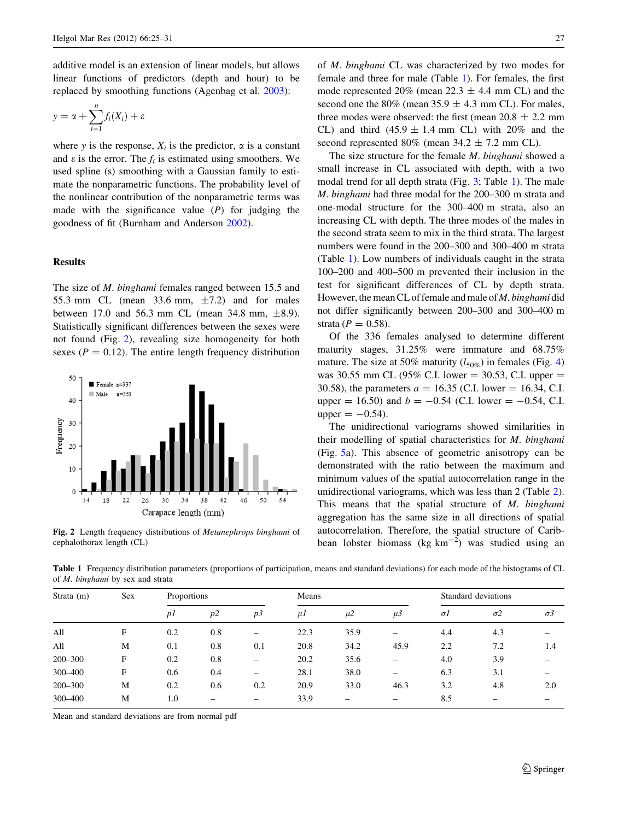additive model is an extension of linear models, but allows linear functions of predictors (depth and hour) to be replaced by smoothing functions (Agenbag et al. [2003](#page-5-0)):

$$
y = \alpha + \sum_{i=1}^{n} f_i(X_i) + \varepsilon
$$

where y is the response,  $X_i$  is the predictor,  $\alpha$  is a constant and  $\varepsilon$  is the error. The  $f_i$  is estimated using smoothers. We used spline (s) smoothing with a Gaussian family to estimate the nonparametric functions. The probability level of the nonlinear contribution of the nonparametric terms was made with the significance value  $(P)$  for judging the goodness of fit (Burnham and Anderson [2002](#page-5-0)).

# **Results**

The size of *M. binghami* females ranged between 15.5 and 55.3 mm CL (mean 33.6 mm,  $\pm$ 7.2) and for males between 17.0 and 56.3 mm CL (mean 34.8 mm,  $\pm 8.9$ ). Statistically significant differences between the sexes were not found (Fig. 2), revealing size homogeneity for both sexes ( $P = 0.12$ ). The entire length frequency distribution



Fig. 2 Length frequency distributions of Metanephrops binghami of cephalothorax length (CL)

of M. binghami CL was characterized by two modes for female and three for male (Table 1). For females, the first mode represented 20% (mean  $22.3 \pm 4.4$  mm CL) and the second one the 80% (mean 35.9  $\pm$  4.3 mm CL). For males, three modes were observed: the first (mean  $20.8 \pm 2.2$  mm CL) and third  $(45.9 \pm 1.4 \text{ mm} \text{ CL})$  with 20% and the second represented 80% (mean  $34.2 \pm 7.2$  mm CL).

The size structure for the female *M. binghami* showed a small increase in CL associated with depth, with a two modal trend for all depth strata (Fig. [3](#page-3-0); Table 1). The male M. binghami had three modal for the 200–300 m strata and one-modal structure for the 300–400 m strata, also an increasing CL with depth. The three modes of the males in the second strata seem to mix in the third strata. The largest numbers were found in the 200–300 and 300–400 m strata (Table 1). Low numbers of individuals caught in the strata 100–200 and 400–500 m prevented their inclusion in the test for significant differences of CL by depth strata. However, the mean CL of female and male of M. binghami did not differ significantly between 200–300 and 300–400 m strata ( $P = 0.58$ ).

Of the 336 females analysed to determine different maturity stages, 31.25% were immature and 68.75% mature. The size at 50% maturity  $(l_{50\%})$  in females (Fig. [4\)](#page-3-0) was 30.55 mm CL (95% C.I. lower = 30.53, C.I. upper = 30.58), the parameters  $a = 16.35$  (C.I. lower = 16.34, C.I. upper = 16.50) and  $b = -0.54$  (C.I. lower = -0.54, C.I. upper  $= -0.54$ .

The unidirectional variograms showed similarities in their modelling of spatial characteristics for M. binghami (Fig. [5a](#page-3-0)). This absence of geometric anisotropy can be demonstrated with the ratio between the maximum and minimum values of the spatial autocorrelation range in the unidirectional variograms, which was less than 2 (Table [2](#page-3-0)). This means that the spatial structure of M. binghami aggregation has the same size in all directions of spatial autocorrelation. Therefore, the spatial structure of Caribbean lobster biomass (kg  $km^{-2}$ ) was studied using an

Table 1 Frequency distribution parameters (proportions of participation, means and standard deviations) for each mode of the histograms of CL of M. binghami by sex and strata

| Strata $(m)$ | Sex | Proportions    |     |     | Means |         |                          | Standard deviations |            |            |
|--------------|-----|----------------|-----|-----|-------|---------|--------------------------|---------------------|------------|------------|
|              |     | p <sub>I</sub> | p2  | p3  | $\mu$ | $\mu$ 2 | $\mu$ 3                  | $\sigma$ l          | $\sigma$ 2 | $\sigma$ 3 |
| All          | F   | 0.2            | 0.8 | -   | 22.3  | 35.9    |                          | 4.4                 | 4.3        | -          |
| All          | M   | 0.1            | 0.8 | 0.1 | 20.8  | 34.2    | 45.9                     | 2.2                 | 7.2        | 1.4        |
| 200-300      | F   | 0.2            | 0.8 | -   | 20.2  | 35.6    | -                        | 4.0                 | 3.9        |            |
| 300-400      | F   | 0.6            | 0.4 | -   | 28.1  | 38.0    | -                        | 6.3                 | 3.1        |            |
| $200 - 300$  | M   | 0.2            | 0.6 | 0.2 | 20.9  | 33.0    | 46.3                     | 3.2                 | 4.8        | 2.0        |
| 300-400      | M   | 1.0            |     | -   | 33.9  | -       | $\overline{\phantom{0}}$ | 8.5                 | -          |            |

Mean and standard deviations are from normal pdf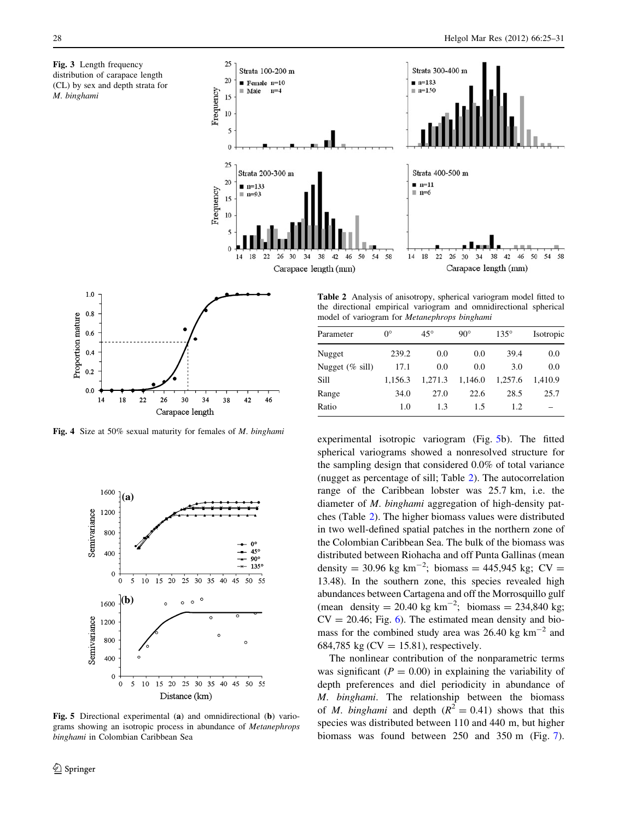<span id="page-3-0"></span>Fig. 3 Length frequency distribution of carapace length (CL) by sex and depth strata for M. binghami





Fig. 4 Size at 50% sexual maturity for females of M. binghami



Fig. 5 Directional experimental (a) and omnidirectional (b) variograms showing an isotropic process in abundance of Metanephrops binghami in Colombian Caribbean Sea

Table 2 Analysis of anisotropy, spherical variogram model fitted to the directional empirical variogram and omnidirectional spherical model of variogram for Metanephrops binghami

| Parameter          | $0^{\circ}$ | $45^{\circ}$ | $90^{\circ}$ | $135^\circ$ | Isotropic |
|--------------------|-------------|--------------|--------------|-------------|-----------|
| Nugget             | 239.2       | 0.0          | 0.0          | 39.4        | 0.0       |
| Nugget $(\%$ sill) | 17.1        | 0.0          | 0.0          | 3.0         | 0.0       |
| Sill               | 1,156.3     | 1.271.3      | 1,146.0      | 1,257.6     | 1.410.9   |
| Range              | 34.0        | 27.0         | 22.6         | 28.5        | 25.7      |
| Ratio              | 1.0         | 1.3          | 1.5          | 1.2         |           |

experimental isotropic variogram (Fig. 5b). The fitted spherical variograms showed a nonresolved structure for the sampling design that considered 0.0% of total variance (nugget as percentage of sill; Table 2). The autocorrelation range of the Caribbean lobster was 25.7 km, i.e. the diameter of M. binghami aggregation of high-density patches (Table 2). The higher biomass values were distributed in two well-defined spatial patches in the northern zone of the Colombian Caribbean Sea. The bulk of the biomass was distributed between Riohacha and off Punta Gallinas (mean density = 30.96 kg km<sup>-2</sup>; biomass = 445,945 kg; CV = 13.48). In the southern zone, this species revealed high abundances between Cartagena and off the Morrosquillo gulf (mean density = 20.40 kg  $km^{-2}$ ; biomass = 234,840 kg;  $CV = 20.46$ ; Fig. [6\)](#page-4-0). The estimated mean density and biomass for the combined study area was  $26.40 \text{ kg km}^{-2}$  and 684,785 kg ( $CV = 15.81$ ), respectively.

The nonlinear contribution of the nonparametric terms was significant ( $P = 0.00$ ) in explaining the variability of depth preferences and diel periodicity in abundance of M. binghami. The relationship between the biomass of *M. binghami* and depth  $(R^2 = 0.41)$  shows that this species was distributed between 110 and 440 m, but higher biomass was found between 250 and 350 m (Fig. [7](#page-4-0)).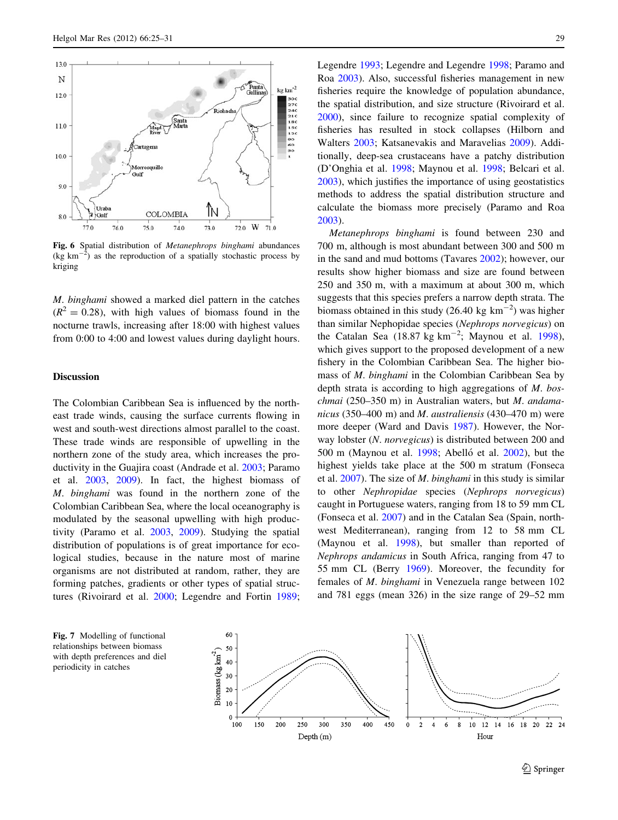<span id="page-4-0"></span>

Fig. 6 Spatial distribution of Metanephrops binghami abundances  $(kg km)$  $^{2}$ ) as the reproduction of a spatially stochastic process by kriging

M. binghami showed a marked diel pattern in the catches  $(R^{2} = 0.28)$ , with high values of biomass found in the nocturne trawls, increasing after 18:00 with highest values from 0:00 to 4:00 and lowest values during daylight hours.

# Discussion

The Colombian Caribbean Sea is influenced by the northeast trade winds, causing the surface currents flowing in west and south-west directions almost parallel to the coast. These trade winds are responsible of upwelling in the northern zone of the study area, which increases the productivity in the Guajira coast (Andrade et al. [2003](#page-5-0); Paramo et al. [2003](#page-6-0), [2009](#page-6-0)). In fact, the highest biomass of M. binghami was found in the northern zone of the Colombian Caribbean Sea, where the local oceanography is modulated by the seasonal upwelling with high productivity (Paramo et al. [2003,](#page-6-0) [2009\)](#page-6-0). Studying the spatial distribution of populations is of great importance for ecological studies, because in the nature most of marine organisms are not distributed at random, rather, they are forming patches, gradients or other types of spatial structures (Rivoirard et al. [2000;](#page-6-0) Legendre and Fortin [1989](#page-6-0); Legendre [1993;](#page-6-0) Legendre and Legendre [1998;](#page-6-0) Paramo and Roa [2003\)](#page-6-0). Also, successful fisheries management in new fisheries require the knowledge of population abundance, the spatial distribution, and size structure (Rivoirard et al. [2000](#page-6-0)), since failure to recognize spatial complexity of fisheries has resulted in stock collapses (Hilborn and Walters [2003](#page-6-0); Katsanevakis and Maravelias [2009](#page-6-0)). Additionally, deep-sea crustaceans have a patchy distribution (D'Onghia et al. [1998](#page-5-0); Maynou et al. [1998;](#page-6-0) Belcari et al. [2003](#page-5-0)), which justifies the importance of using geostatistics methods to address the spatial distribution structure and calculate the biomass more precisely (Paramo and Roa [2003](#page-6-0)).

Metanephrops binghami is found between 230 and 700 m, although is most abundant between 300 and 500 m in the sand and mud bottoms (Tavares [2002\)](#page-6-0); however, our results show higher biomass and size are found between 250 and 350 m, with a maximum at about 300 m, which suggests that this species prefers a narrow depth strata. The biomass obtained in this study  $(26.40 \text{ kg km}^{-2})$  was higher than similar Nephopidae species (Nephrops norvegicus) on the Catalan Sea  $(18.87 \text{ kg km}^{-2})$ ; Maynou et al. [1998](#page-6-0)), which gives support to the proposed development of a new fishery in the Colombian Caribbean Sea. The higher biomass of M. binghami in the Colombian Caribbean Sea by depth strata is according to high aggregations of  $M$ . boschmai (250–350 m) in Australian waters, but M. andamanicus (350–400 m) and M. australiensis (430–470 m) were more deeper (Ward and Davis [1987](#page-6-0)). However, the Norway lobster (N. norvegicus) is distributed between 200 and 500 m (Maynou et al.  $1998$ ; Abelló et al.  $2002$ ), but the highest yields take place at the 500 m stratum (Fonseca et al.  $2007$ ). The size of *M*. *binghami* in this study is similar to other Nephropidae species (Nephrops norvegicus) caught in Portuguese waters, ranging from 18 to 59 mm CL (Fonseca et al. [2007\)](#page-5-0) and in the Catalan Sea (Spain, northwest Mediterranean), ranging from 12 to 58 mm CL (Maynou et al. [1998](#page-6-0)), but smaller than reported of Nephrops andamicus in South Africa, ranging from 47 to 55 mm CL (Berry [1969](#page-5-0)). Moreover, the fecundity for females of M. binghami in Venezuela range between 102 and 781 eggs (mean 326) in the size range of 29–52 mm

Fig. 7 Modelling of functional relationships between biomass with depth preferences and diel periodicity in catches

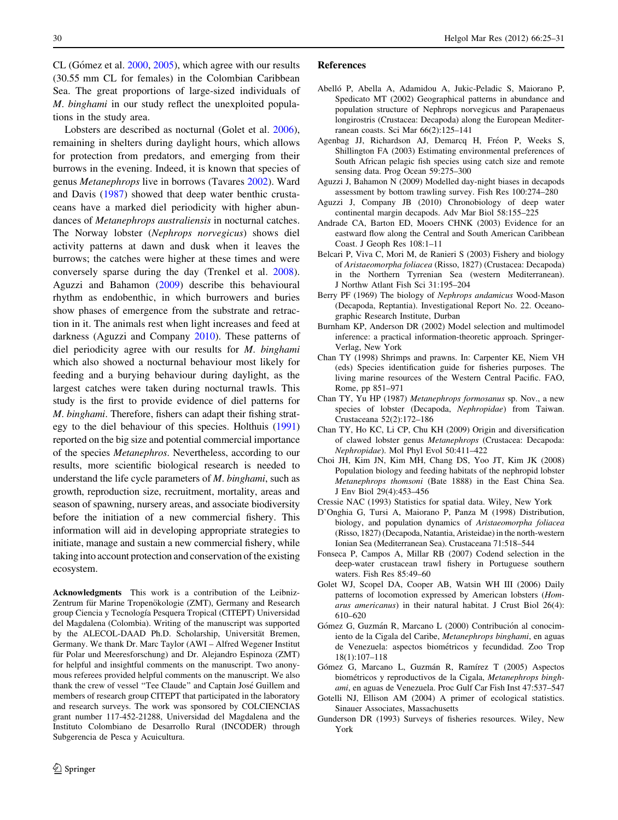<span id="page-5-0"></span>CL (Gómez et al.  $2000$ ,  $2005$ ), which agree with our results (30.55 mm CL for females) in the Colombian Caribbean Sea. The great proportions of large-sized individuals of M. binghami in our study reflect the unexploited populations in the study area.

Lobsters are described as nocturnal (Golet et al. 2006), remaining in shelters during daylight hours, which allows for protection from predators, and emerging from their burrows in the evening. Indeed, it is known that species of genus Metanephrops live in borrows (Tavares [2002](#page-6-0)). Ward and Davis ([1987\)](#page-6-0) showed that deep water benthic crustaceans have a marked diel periodicity with higher abundances of Metanephrops australiensis in nocturnal catches. The Norway lobster (Nephrops norvegicus) shows diel activity patterns at dawn and dusk when it leaves the burrows; the catches were higher at these times and were conversely sparse during the day (Trenkel et al. [2008](#page-6-0)). Aguzzi and Bahamon (2009) describe this behavioural rhythm as endobenthic, in which burrowers and buries show phases of emergence from the substrate and retraction in it. The animals rest when light increases and feed at darkness (Aguzzi and Company 2010). These patterns of diel periodicity agree with our results for *M. binghami* which also showed a nocturnal behaviour most likely for feeding and a burying behaviour during daylight, as the largest catches were taken during nocturnal trawls. This study is the first to provide evidence of diel patterns for M. binghami. Therefore, fishers can adapt their fishing strategy to the diel behaviour of this species. Holthuis [\(1991\)](#page-6-0) reported on the big size and potential commercial importance of the species Metanephros. Nevertheless, according to our results, more scientific biological research is needed to understand the life cycle parameters of M. binghami, such as growth, reproduction size, recruitment, mortality, areas and season of spawning, nursery areas, and associate biodiversity before the initiation of a new commercial fishery. This information will aid in developing appropriate strategies to initiate, manage and sustain a new commercial fishery, while taking into account protection and conservation of the existing ecosystem.

Acknowledgments This work is a contribution of the Leibniz-Zentrum für Marine Tropenökologie (ZMT), Germany and Research group Ciencia y Tecnología Pesquera Tropical (CITEPT) Universidad del Magdalena (Colombia). Writing of the manuscript was supported by the ALECOL-DAAD Ph.D. Scholarship, Universität Bremen, Germany. We thank Dr. Marc Taylor (AWI – Alfred Wegener Institut für Polar und Meeresforschung) and Dr. Alejandro Espinoza (ZMT) for helpful and insightful comments on the manuscript. Two anonymous referees provided helpful comments on the manuscript. We also thank the crew of vessel "Tee Claude" and Captain José Guillem and members of research group CITEPT that participated in the laboratory and research surveys. The work was sponsored by COLCIENCIAS grant number 117-452-21288, Universidad del Magdalena and the Instituto Colombiano de Desarrollo Rural (INCODER) through Subgerencia de Pesca y Acuicultura.

# References

- Abelló P, Abella A, Adamidou A, Jukic-Peladic S, Maiorano P, Spedicato MT (2002) Geographical patterns in abundance and population structure of Nephrops norvegicus and Parapenaeus longirostris (Crustacea: Decapoda) along the European Mediterranean coasts. Sci Mar 66(2):125–141
- Agenbag JJ, Richardson AJ, Demarcq H, Fréon P, Weeks S, Shillington FA (2003) Estimating environmental preferences of South African pelagic fish species using catch size and remote sensing data. Prog Ocean 59:275–300
- Aguzzi J, Bahamon N (2009) Modelled day-night biases in decapods assessment by bottom trawling survey. Fish Res 100:274–280
- Aguzzi J, Company JB (2010) Chronobiology of deep water continental margin decapods. Adv Mar Biol 58:155–225
- Andrade CA, Barton ED, Mooers CHNK (2003) Evidence for an eastward flow along the Central and South American Caribbean Coast. J Geoph Res 108:1–11
- Belcari P, Viva C, Mori M, de Ranieri S (2003) Fishery and biology of Aristaeomorpha foliacea (Risso, 1827) (Crustacea: Decapoda) in the Northern Tyrrenian Sea (western Mediterranean). J Northw Atlant Fish Sci 31:195–204
- Berry PF (1969) The biology of Nephrops andamicus Wood-Mason (Decapoda, Reptantia). Investigational Report No. 22. Oceanographic Research Institute, Durban
- Burnham KP, Anderson DR (2002) Model selection and multimodel inference: a practical information-theoretic approach. Springer-Verlag, New York
- Chan TY (1998) Shrimps and prawns. In: Carpenter KE, Niem VH (eds) Species identification guide for fisheries purposes. The living marine resources of the Western Central Pacific. FAO, Rome, pp 851–971
- Chan TY, Yu HP (1987) Metanephrops formosanus sp. Nov., a new species of lobster (Decapoda, Nephropidae) from Taiwan. Crustaceana 52(2):172–186
- Chan TY, Ho KC, Li CP, Chu KH (2009) Origin and diversification of clawed lobster genus Metanephrops (Crustacea: Decapoda: Nephropidae). Mol Phyl Evol 50:411–422
- Choi JH, Kim JN, Kim MH, Chang DS, Yoo JT, Kim JK (2008) Population biology and feeding habitats of the nephropid lobster Metanephrops thomsoni (Bate 1888) in the East China Sea. J Env Biol 29(4):453–456
- Cressie NAC (1993) Statistics for spatial data. Wiley, New York
- D'Onghia G, Tursi A, Maiorano P, Panza M (1998) Distribution, biology, and population dynamics of Aristaeomorpha foliacea (Risso, 1827) (Decapoda, Natantia, Aristeidae) in the north-western Ionian Sea (Mediterranean Sea). Crustaceana 71:518–544
- Fonseca P, Campos A, Millar RB (2007) Codend selection in the deep-water crustacean trawl fishery in Portuguese southern waters. Fish Res 85:49–60
- Golet WJ, Scopel DA, Cooper AB, Watsin WH III (2006) Daily patterns of locomotion expressed by American lobsters (Homarus americanus) in their natural habitat. J Crust Biol 26(4): 610–620
- Gómez G, Guzmán R, Marcano L (2000) Contribución al conocimiento de la Cigala del Caribe, Metanephrops binghami, en aguas de Venezuela: aspectos biométricos y fecundidad. Zoo Trop 18(1):107–118
- Gómez G, Marcano L, Guzmán R, Ramírez T (2005) Aspectos biométricos y reproductivos de la Cigala, Metanephrops binghami, en aguas de Venezuela. Proc Gulf Car Fish Inst 47:537–547
- Gotelli NJ, Ellison AM (2004) A primer of ecological statistics. Sinauer Associates, Massachusetts
- Gunderson DR (1993) Surveys of fisheries resources. Wiley, New York